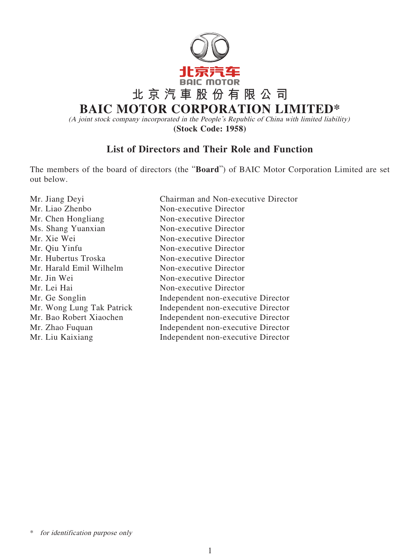

(A joint stock company incorporated in the People's Republic of China with limited liability) **(Stock Code: 1958)**

## **List of Directors and Their Role and Function**

The members of the board of directors (the "**Board**") of BAIC Motor Corporation Limited are set out below.

| Mr. Jiang Deyi            | Chairman and Non-executive Director |
|---------------------------|-------------------------------------|
| Mr. Liao Zhenbo           | Non-executive Director              |
| Mr. Chen Hongliang        | Non-executive Director              |
| Ms. Shang Yuanxian        | Non-executive Director              |
| Mr. Xie Wei               | Non-executive Director              |
| Mr. Qiu Yinfu             | Non-executive Director              |
| Mr. Hubertus Troska       | Non-executive Director              |
| Mr. Harald Emil Wilhelm   | Non-executive Director              |
| Mr. Jin Wei               | Non-executive Director              |
| Mr. Lei Hai               | Non-executive Director              |
| Mr. Ge Songlin            | Independent non-executive Director  |
| Mr. Wong Lung Tak Patrick | Independent non-executive Director  |
| Mr. Bao Robert Xiaochen   | Independent non-executive Director  |
| Mr. Zhao Fuquan           | Independent non-executive Director  |
| Mr. Liu Kaixiang          | Independent non-executive Director  |
|                           |                                     |

\* for identification purpose only